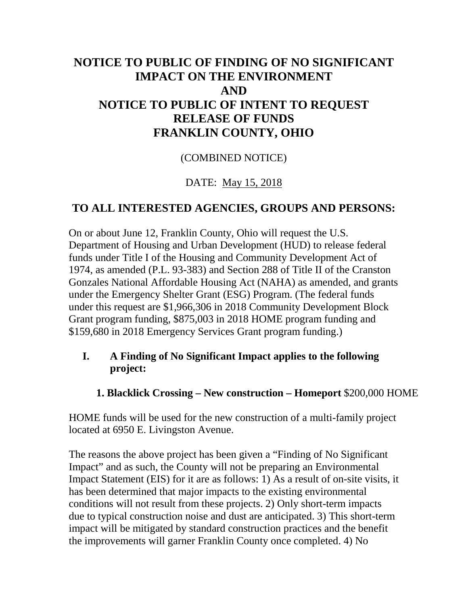# **NOTICE TO PUBLIC OF FINDING OF NO SIGNIFICANT IMPACT ON THE ENVIRONMENT AND NOTICE TO PUBLIC OF INTENT TO REQUEST RELEASE OF FUNDS FRANKLIN COUNTY, OHIO**

#### (COMBINED NOTICE)

#### DATE: May 15, 2018

#### **TO ALL INTERESTED AGENCIES, GROUPS AND PERSONS:**

On or about June 12, Franklin County, Ohio will request the U.S. Department of Housing and Urban Development (HUD) to release federal funds under Title I of the Housing and Community Development Act of 1974, as amended (P.L. 93-383) and Section 288 of Title II of the Cranston Gonzales National Affordable Housing Act (NAHA) as amended, and grants under the Emergency Shelter Grant (ESG) Program. (The federal funds under this request are \$1,966,306 in 2018 Community Development Block Grant program funding, \$875,003 in 2018 HOME program funding and \$159,680 in 2018 Emergency Services Grant program funding.)

#### **I. A Finding of No Significant Impact applies to the following project:**

#### **1. Blacklick Crossing – New construction – Homeport** \$200,000 HOME

HOME funds will be used for the new construction of a multi-family project located at 6950 E. Livingston Avenue.

The reasons the above project has been given a "Finding of No Significant Impact" and as such, the County will not be preparing an Environmental Impact Statement (EIS) for it are as follows: 1) As a result of on-site visits, it has been determined that major impacts to the existing environmental conditions will not result from these projects. 2) Only short-term impacts due to typical construction noise and dust are anticipated. 3) This short-term impact will be mitigated by standard construction practices and the benefit the improvements will garner Franklin County once completed. 4) No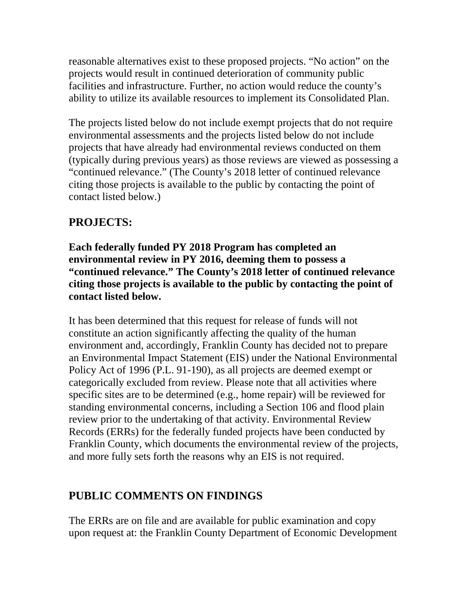reasonable alternatives exist to these proposed projects. "No action" on the projects would result in continued deterioration of community public facilities and infrastructure. Further, no action would reduce the county's ability to utilize its available resources to implement its Consolidated Plan.

The projects listed below do not include exempt projects that do not require environmental assessments and the projects listed below do not include projects that have already had environmental reviews conducted on them (typically during previous years) as those reviews are viewed as possessing a "continued relevance." (The County's 2018 letter of continued relevance citing those projects is available to the public by contacting the point of contact listed below.)

## **PROJECTS:**

**Each federally funded PY 2018 Program has completed an environmental review in PY 2016, deeming them to possess a "continued relevance." The County's 2018 letter of continued relevance citing those projects is available to the public by contacting the point of contact listed below.**

It has been determined that this request for release of funds will not constitute an action significantly affecting the quality of the human environment and, accordingly, Franklin County has decided not to prepare an Environmental Impact Statement (EIS) under the National Environmental Policy Act of 1996 (P.L. 91-190), as all projects are deemed exempt or categorically excluded from review. Please note that all activities where specific sites are to be determined (e.g., home repair) will be reviewed for standing environmental concerns, including a Section 106 and flood plain review prior to the undertaking of that activity. Environmental Review Records (ERRs) for the federally funded projects have been conducted by Franklin County, which documents the environmental review of the projects, and more fully sets forth the reasons why an EIS is not required.

## **PUBLIC COMMENTS ON FINDINGS**

The ERRs are on file and are available for public examination and copy upon request at: the Franklin County Department of Economic Development